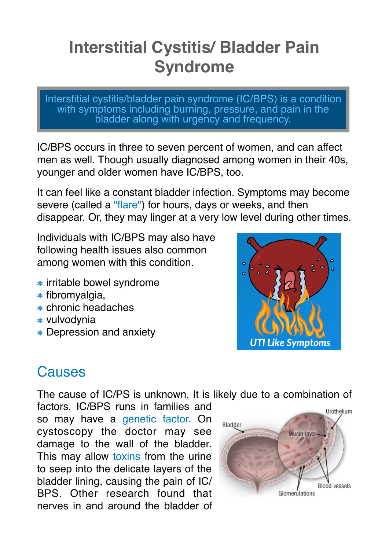# **Interstitial Cystitis/ Bladder Pain Syndrome**

Interstitial cystitis/bladder pain syndrome (IC/BPS) is a condition with symptoms including burning, pressure, and pain in the bladder along with urgency and frequency.

IC/BPS occurs in three to seven percent of women, and can affect men as well. Though usually diagnosed among women in their 40s, younger and older women have IC/BPS, too.

It can feel like a constant bladder infection. Symptoms may become severe (called a "flare") for hours, days or weeks, and then disappear. Or, they may linger at a very low level during other times.

Individuals with IC/BPS may also have following health issues also common among women with this condition.

- **\*** irritable bowel syndrome
- $*$  fibromyalgia,
- \* chronic headaches
- \* vulvodynia
- **\*** Depression and anxiety



### **Causes**

The cause of IC/PS is unknown. It is likely due to a combination of

factors. IC/BPS runs in families and so may have a genetic factor. On cystoscopy the doctor may see damage to the wall of the bladder. This may allow toxins from the urine to seep into the delicate layers of the bladder lining, causing the pain of IC/ BPS. Other research found that nerves in and around the bladder of

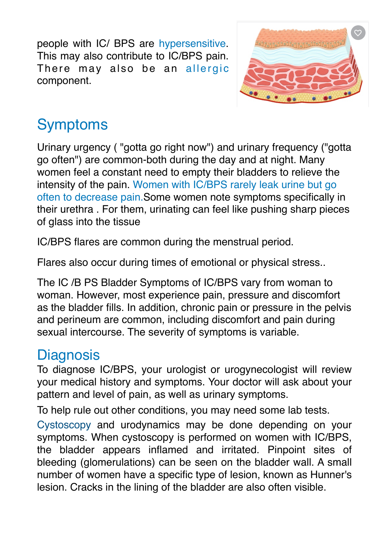people with IC/ BPS are hypersensitive. This may also contribute to IC/BPS pain. There may also be an allergic component.



## Symptoms

Urinary urgency ( "gotta go right now") and urinary frequency ("gotta go often") are common-both during the day and at night. Many women feel a constant need to empty their bladders to relieve the intensity of the pain. Women with IC/BPS rarely leak urine but go often to decrease pain.Some women note symptoms specifically in their urethra . For them, urinating can feel like pushing sharp pieces of glass into the tissue

IC/BPS flares are common during the menstrual period.

Flares also occur during times of emotional or physical stress..

The IC /B PS Bladder Symptoms of IC/BPS vary from woman to woman. However, most experience pain, pressure and discomfort as the bladder fills. In addition, chronic pain or pressure in the pelvis and perineum are common, including discomfort and pain during sexual intercourse. The severity of symptoms is variable.

### **Diagnosis**

To diagnose IC/BPS, your urologist or urogynecologist will review your medical history and symptoms. Your doctor will ask about your pattern and level of pain, as well as urinary symptoms.

To help rule out other conditions, you may need some lab tests.

Cystoscopy and urodynamics may be done depending on your symptoms. When cystoscopy is performed on women with IC/BPS, the bladder appears inflamed and irritated. Pinpoint sites of bleeding (glomerulations) can be seen on the bladder wall. A small number of women have a specific type of lesion, known as Hunner's lesion. Cracks in the lining of the bladder are also often visible.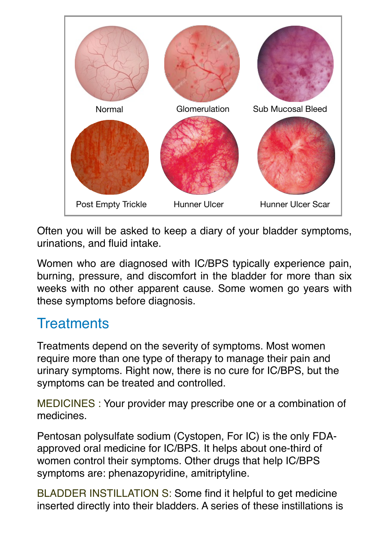

Often you will be asked to keep a diary of your bladder symptoms, urinations, and fluid intake.

Women who are diagnosed with IC/BPS typically experience pain, burning, pressure, and discomfort in the bladder for more than six weeks with no other apparent cause. Some women go years with these symptoms before diagnosis.

### **Treatments**

Treatments depend on the severity of symptoms. Most women require more than one type of therapy to manage their pain and urinary symptoms. Right now, there is no cure for IC/BPS, but the symptoms can be treated and controlled.

MEDICINES : Your provider may prescribe one or a combination of medicines.

Pentosan polysulfate sodium (Cystopen, For IC) is the only FDAapproved oral medicine for IC/BPS. It helps about one-third of women control their symptoms. Other drugs that help IC/BPS symptoms are: phenazopyridine, amitriptyline.

BLADDER INSTILLATION S: Some find it helpful to get medicine inserted directly into their bladders. A series of these instillations is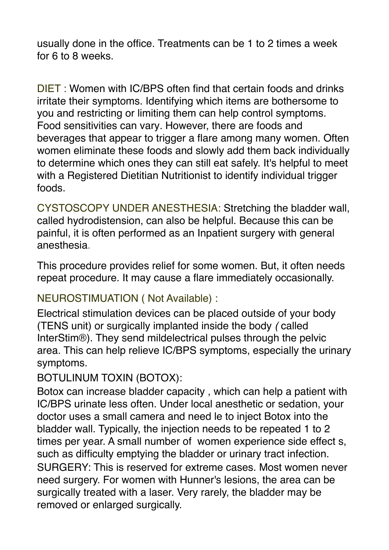usually done in the office. Treatments can be 1 to 2 times a week for 6 to 8 weeks.

DIET : Women with IC/BPS often find that certain foods and drinks irritate their symptoms. Identifying which items are bothersome to you and restricting or limiting them can help control symptoms. Food sensitivities can vary*.* However, there are foods and beverages that appear to trigger a flare among many women. Often women eliminate these foods and slowly add them back individually to determine which ones they can still eat safely. It's helpful to meet with a Registered Dietitian Nutritionist to identify individual trigger foods.

CYSTOSCOPY UNDER ANESTHESIA: Stretching the bladder wall, called hydrodistension, can also be helpful. Because this can be painful, it is often performed as an Inpatient surgery with general anesthesia.

This procedure provides relief for some women. But, it often needs repeat procedure. It may cause a flare immediately occasionally.

### NEUROSTIMUATION ( Not Available) :

Electrical stimulation devices can be placed outside of your body (TENS unit) or surgically implanted inside the body *(* called InterStim®). They send mildelectrical pulses through the pelvic area. This can help relieve IC/BPS symptoms, especially the urinary symptoms.

#### BOTULINUM TOXIN (BOTOX):

Botox can increase bladder capacity , which can help a patient with IC/BPS urinate less often. Under local anesthetic or sedation, your doctor uses a small camera and need le to inject Botox into the bladder wall. Typically, the injection needs to be repeated 1 to 2 times per year. A small number of women experience side effect s, such as difficulty emptying the bladder or urinary tract infection. SURGERY: This is reserved for extreme cases. Most women never need surgery. For women with Hunner's lesions, the area can be surgically treated with a laser. Very rarely, the bladder may be removed or enlarged surgically.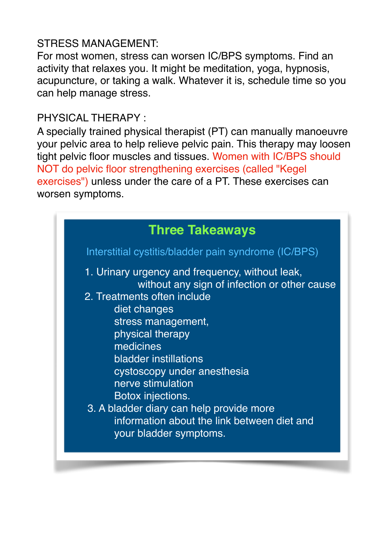### STRESS MANAGEMENT:

For most women, stress can worsen IC/BPS symptoms. Find an activity that relaxes you. It might be meditation, yoga, hypnosis, acupuncture, or taking a walk. Whatever it is, schedule time so you can help manage stress.

#### PHYSICAL THERAPY :

A specially trained physical therapist (PT) can manually manoeuvre your pelvic area to help relieve pelvic pain. This therapy may loosen tight pelvic floor muscles and tissues. Women with IC/BPS should NOT do pelvic floor strengthening exercises (called "Kegel exercises") unless under the care of a PT. These exercises can worsen symptoms.

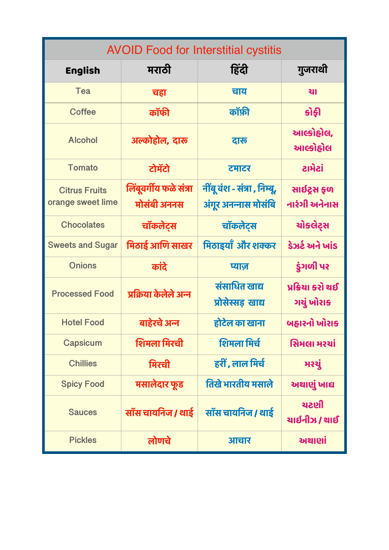| <b>AVOID Food for Interstitial cystitis</b> |                                       |                                                      |                                |  |
|---------------------------------------------|---------------------------------------|------------------------------------------------------|--------------------------------|--|
| <b>English</b>                              | मराठी                                 | हिंदी                                                | गुजराथी                        |  |
| Tea                                         | चहा                                   | चाय                                                  | थ।                             |  |
| <b>Coffee</b>                               | कॉफी                                  | कॉफ़ी                                                | <u> કોફી</u>                   |  |
| <b>Alcohol</b>                              | अल्कोहोल, दारू                        | दारू                                                 | આલ્કોહોલ,<br>આલ્કોહોલ          |  |
| <b>Tomato</b>                               | टोमॅटो                                | टमाटर                                                | ટામેટાં                        |  |
| <b>Citrus Fruits</b><br>orange sweet lime   | लिंबूवर्गीय फळे संत्रा<br>मोसंबी अननस | नींबू वंश - संत्रा , निम्बू,<br>अंगूर अनन्नास मोसंबि | સાઈટ્રસ ફળ<br>નારંગી અનેનાસ    |  |
| <b>Chocolates</b>                           | चॉकलेट्स                              | चॉकलेट्स                                             | ચોકલેટ્સ                       |  |
| <b>Sweets and Sugar</b>                     | मिठाई आणि साखर                        | मिठाइयाँ और शक्कर                                    | ડેઝર્ટ અને ખાંડ                |  |
| <b>Onions</b>                               | कांदे                                 | प्याज                                                | ડુંગળી પર                      |  |
| <b>Processed Food</b>                       | प्रक्रिया केलेले अन्न                 | संसाधित खाद्य<br>प्रोसेस्सड़ खाद्य                   | પ્રક્રિયા કરો થઈ<br>ગયું ખોરાક |  |
| <b>Hotel Food</b>                           | बाहेरचे अन्न                          | होटेल का खाना                                        | બહારનો ખોરાક                   |  |
| <b>Capsicum</b>                             | शिमला मिरची                           | शिमला मिर्च                                          | સિમલા મરચાં                    |  |
| <b>Chillies</b>                             | मिरची                                 | हरीं , लाल मिर्च                                     | મરચું                          |  |
| <b>Spicy Food</b>                           | मसालेदार फूड                          | तिखे भारतीय मसाले                                    | અથાણું ખાદ્ય                   |  |
| <b>Sauces</b>                               | सॉस चायनिज / थाई                      | सॉस चायनिज / थाई                                     | ચટણી<br>યાઈનીઝ / થાઈ           |  |
| <b>Pickles</b>                              | लोणचे                                 | आचार                                                 | અથાણાં                         |  |